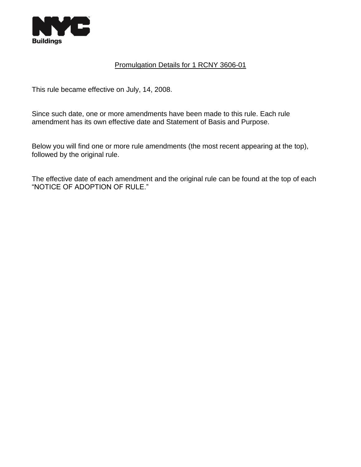

## Promulgation Details for 1 RCNY 3606-01

This rule became effective on July, 14, 2008.

Since such date, one or more amendments have been made to this rule. Each rule amendment has its own effective date and Statement of Basis and Purpose.

Below you will find one or more rule amendments (the most recent appearing at the top), followed by the original rule.

The effective date of each amendment and the original rule can be found at the top of each "NOTICE OF ADOPTION OF RULE."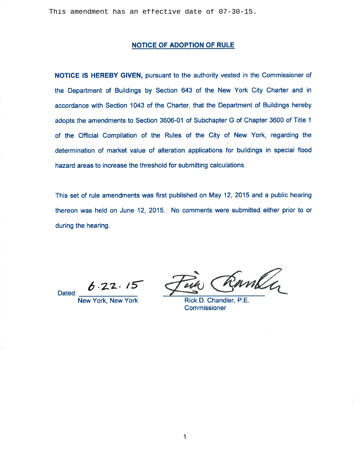#### **NOTICE OF ADOPTION OF RULE**

NOTICE IS HEREBY GIVEN, pursuant to the authority vested in the Commissioner of the Department of Buildings by Section 643 of the New York City Charter and in accordance with Section 1043 of the Charter, that the Department of Buildings hereby adopts the amendments to Section 3606-01 of Subchapter G of Chapter 3600 of Title 1 of the Official Compilation of the Rules of the City of New York, regarding the determination of market value of alteration applications for buildings in special flood hazard areas to increase the threshold for submitting calculations.

This set of rule amendments was first published on May 12, 2015 and a public hearing thereon was held on June 12, 2015. No comments were submitted either prior to or during the hearing.

Dated:

Sanley

Rick D. Chandler, P.E. **Commissioner**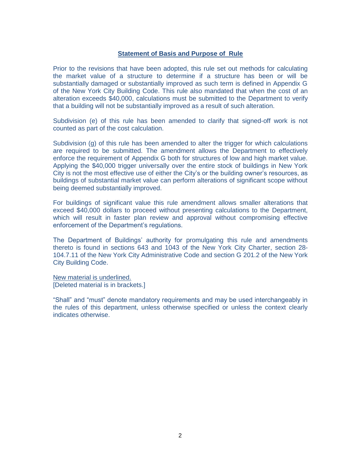#### **Statement of Basis and Purpose of Rule**

Prior to the revisions that have been adopted, this rule set out methods for calculating the market value of a structure to determine if a structure has been or will be substantially damaged or substantially improved as such term is defined in Appendix G of the New York City Building Code. This rule also mandated that when the cost of an alteration exceeds \$40,000, calculations must be submitted to the Department to verify that a building will not be substantially improved as a result of such alteration.

Subdivision (e) of this rule has been amended to clarify that signed-off work is not counted as part of the cost calculation.

Subdivision (g) of this rule has been amended to alter the trigger for which calculations are required to be submitted. The amendment allows the Department to effectively enforce the requirement of Appendix G both for structures of low and high market value. Applying the \$40,000 trigger universally over the entire stock of buildings in New York City is not the most effective use of either the City's or the building owner's resources, as buildings of substantial market value can perform alterations of significant scope without being deemed substantially improved.

For buildings of significant value this rule amendment allows smaller alterations that exceed \$40,000 dollars to proceed without presenting calculations to the Department, which will result in faster plan review and approval without compromising effective enforcement of the Department's regulations.

The Department of Buildings' authority for promulgating this rule and amendments thereto is found in sections 643 and 1043 of the New York City Charter, section 28- 104.7.11 of the New York City Administrative Code and section G 201.2 of the New York City Building Code.

New material is underlined. [Deleted material is in brackets.]

"Shall" and "must" denote mandatory requirements and may be used interchangeably in the rules of this department, unless otherwise specified or unless the context clearly indicates otherwise.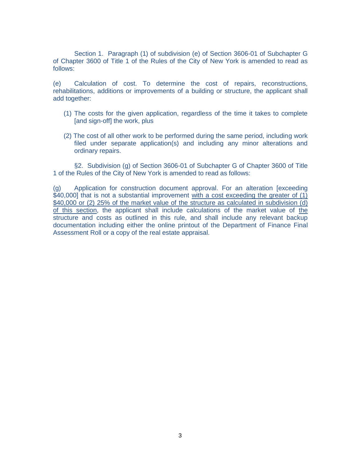Section 1. Paragraph (1) of subdivision (e) of Section 3606-01 of Subchapter G of Chapter 3600 of Title 1 of the Rules of the City of New York is amended to read as follows:

(e) Calculation of cost. To determine the cost of repairs, reconstructions, rehabilitations, additions or improvements of a building or structure, the applicant shall add together:

- (1) The costs for the given application, regardless of the time it takes to complete [and sign-off] the work, plus
- (2) The cost of all other work to be performed during the same period, including work filed under separate application(s) and including any minor alterations and ordinary repairs.

§2. Subdivision (g) of Section 3606-01 of Subchapter G of Chapter 3600 of Title 1 of the Rules of the City of New York is amended to read as follows:

(g) Application for construction document approval. For an alteration [exceeding \$40,000] that is not a substantial improvement with a cost exceeding the greater of (1) \$40,000 or (2) 25% of the market value of the structure as calculated in subdivision (d) of this section, the applicant shall include calculations of the market value of the structure and costs as outlined in this rule, and shall include any relevant backup documentation including either the online printout of the Department of Finance Final Assessment Roll or a copy of the real estate appraisal.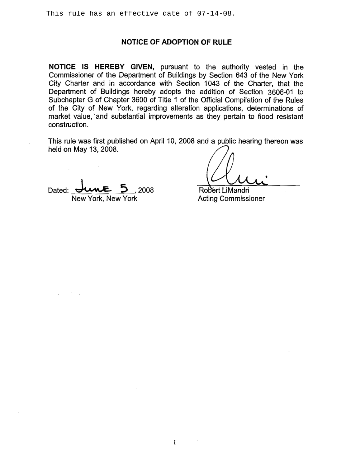This rule has an effective date of 07-14-08.

## NOTICE OF ADOPTION OF RULE

NOTICE IS HEREBY GIVEN, pursuant to the authority vested in the Commissioner of the Department of Buildings by Section 643 of the New York City Charter and in accordance with Section 1043 of the Charter, that the Department of Buildings hereby adopts the addition of Section 3606-01 to Subchapter G of Chapter 3600 of Title 1 of the Official Compilation of the Rules of the City of New York, regarding alteration applications, determinations of market value, and substantial improvements as they pertain to flood resistant construction.

This rule was first published on April 10, 2008 and a public hearing thereon was held on May 13, 2008.

2008 Dated: New York, New York

Robert LiMandri

**Acting Commissioner**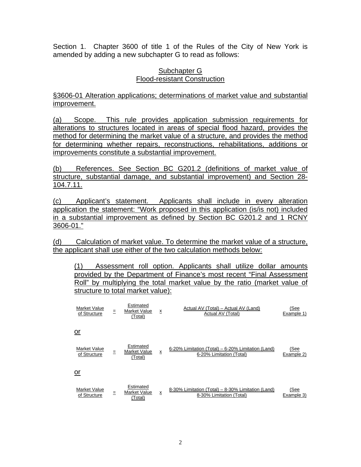Section 1. Chapter 3600 of title 1 of the Rules of the City of New York is amended by adding a new subchapter G to read as follows:

# Subchapter G Flood-resistant Construction

§3606-01 Alteration applications; determinations of market value and substantial improvement.

(a) Scope. This rule provides application submission requirements for alterations to structures located in areas of special flood hazard, provides the method for determining the market value of a structure, and provides the method for determining whether repairs, reconstructions, rehabilitations, additions or improvements constitute a substantial improvement.

(b) References. See Section BC G201.2 (definitions of market value of structure, substantial damage, and substantial improvement) and Section 28- 104.7.11.

(c) Applicant's statement. Applicants shall include in every alteration application the statement: "Work proposed in this application (is/is not) included in a substantial improvement as defined by Section BC G201.2 and 1 RCNY 3606-01."

(d) Calculation of market value. To determine the market value of a structure, the applicant shall use either of the two calculation methods below:

(1) Assessment roll option. Applicants shall utilize dollar amounts provided by the Department of Finance's most recent "Final Assessment Roll" by multiplying the total market value by the ratio (market value of structure to total market value):

| Market Value<br>of Structure        | Ξ | Estimated<br>Market Value<br>(Total) | x | Actual AV (Total) – Actual AV (Land)<br>Actual AV (Total)                      | (See<br>Example 1) |
|-------------------------------------|---|--------------------------------------|---|--------------------------------------------------------------------------------|--------------------|
| <u>or</u>                           |   |                                      |   |                                                                                |                    |
| <b>Market Value</b><br>of Structure | Ξ | Estimated<br>Market Value<br>(Total) | X | 6-20% Limitation (Total) – 6-20% Limitation (Land)<br>6-20% Limitation (Total) | (See<br>Example 2) |
| <u>or</u>                           |   |                                      |   |                                                                                |                    |
| <b>Market Value</b><br>of Structure | Ξ | Estimated<br>Market Value<br>(Total) | X | 8-30% Limitation (Total) - 8-30% Limitation (Land)<br>8-30% Limitation (Total) | (See<br>Example 3) |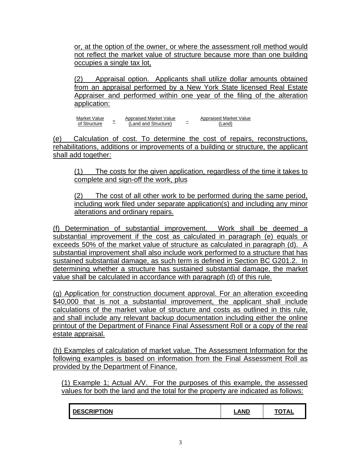or, at the option of the owner, or where the assessment roll method would not reflect the market value of structure because more than one building occupies a single tax lot,

(2) Appraisal option. Applicants shall utilize dollar amounts obtained from an appraisal performed by a New York State licensed Real Estate Appraiser and performed within one year of the filing of the alteration application:

Market Value of Structure Appraised Market Value  $\equiv$   $\frac{2\pi \mu \text{m} \cdot \text{m} \cdot \text{m}}{\text{(Land and Structure)}}$   $\equiv$   $\frac{2\pi \mu \text{m} \cdot \text{m}}{\text{(Land)}}$ Appraised Market Value

(e) Calculation of cost. To determine the cost of repairs, reconstructions, rehabilitations, additions or improvements of a building or structure, the applicant shall add together:

(1) The costs for the given application, regardless of the time it takes to complete and sign-off the work, plus

(2) The cost of all other work to be performed during the same period, including work filed under separate application(s) and including any minor alterations and ordinary repairs.

(f) Determination of substantial improvement. Work shall be deemed a substantial improvement if the cost as calculated in paragraph (e) equals or exceeds 50% of the market value of structure as calculated in paragraph (d). A substantial improvement shall also include work performed to a structure that has sustained substantial damage, as such term is defined in Section BC G201.2. In determining whether a structure has sustained substantial damage, the market value shall be calculated in accordance with paragraph (d) of this rule.

(g) Application for construction document approval. For an alteration exceeding \$40,000 that is not a substantial improvement, the applicant shall include calculations of the market value of structure and costs as outlined in this rule, and shall include any relevant backup documentation including either the online printout of the Department of Finance Final Assessment Roll or a copy of the real estate appraisal.

(h) Examples of calculation of market value. The Assessment Information for the following examples is based on information from the Final Assessment Roll as provided by the Department of Finance.

(1) Example 1; Actual A/V. For the purposes of this example, the assessed values for both the land and the total for the property are indicated as follows:

| <b>CRIPTION</b> | ______ | <b>TOTAL</b> |
|-----------------|--------|--------------|
|-----------------|--------|--------------|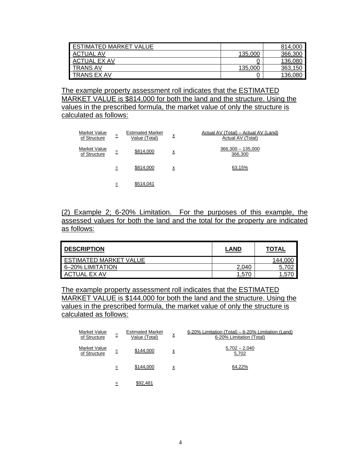| <b>ESTIMATED MARKET VALUE</b> |          | 814,000      |
|-------------------------------|----------|--------------|
| <b>ACTUAL</b><br>. AV         | 135,000  | 366,300      |
| <b>ACTUAL EX AV</b>           | U        | 136,080      |
| <b>TRANS AV</b>               | 135,000  | 363,<br>,150 |
| <b>TRANS EX AV</b>            | <u>v</u> | 136,080      |

The example property assessment roll indicates that the ESTIMATED MARKET VALUE is \$814,000 for both the land and the structure. Using the values in the prescribed formula, the market value of only the structure is calculated as follows:

| Market Value<br>of Structure | Ξ | <b>Estimated Market</b><br>Value (Total) | X               | Actual AV (Total) – Actual AV (Land)<br>Actual AV (Total) |
|------------------------------|---|------------------------------------------|-----------------|-----------------------------------------------------------|
| Market Value<br>of Structure | Ξ | \$814,000                                | $\underline{x}$ | $366,300 - 135,000$<br>366,300                            |
|                              | Ξ | \$814,000                                | X               | 63.15%                                                    |
|                              |   | \$514,041                                |                 |                                                           |

(2) Example 2; 6-20% Limitation. For the purposes of this example, the assessed values for both the land and the total for the property are indicated as follows:

| <b>DESCRIPTION</b>     | <b>LAND</b> | <b>TOTAL</b>        |
|------------------------|-------------|---------------------|
| ESTIMATED MARKET VALUE |             | 144,00 <sub>U</sub> |
| 6-20% LIMITATION       | 2.040       |                     |
| <b>ACTUAL EX AV</b>    | 1,570       |                     |

The example property assessment roll indicates that the ESTIMATED MARKET VALUE is \$144,000 for both the land and the structure. Using the values in the prescribed formula, the market value of only the structure is calculated as follows:

| Market Value<br>of Structure | Ξ | <b>Estimated Market</b><br>Value (Total) | $\underline{\mathsf{x}}$ | 6-20% Limitation (Total) – 6-20% Limitation (Land)<br>6-20% Limitation (Total) |
|------------------------------|---|------------------------------------------|--------------------------|--------------------------------------------------------------------------------|
| Market Value<br>of Structure | Ξ | \$144,000                                | x                        | $5,702 - 2,040$<br>5,702                                                       |
|                              | Ξ | \$144,000                                | $\underline{x}$          | 64.22%                                                                         |
|                              |   | \$92,481                                 |                          |                                                                                |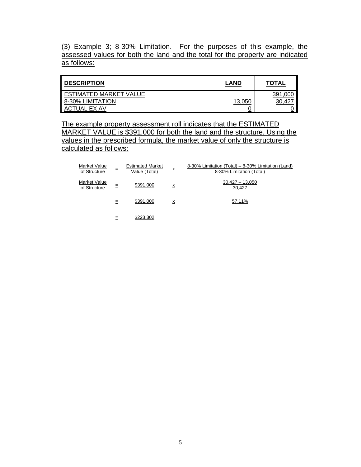(3) Example 3; 8-30% Limitation. For the purposes of this example, the assessed values for both the land and the total for the property are indicated as follows:

| <b>I DESCRIPTION</b>          | <b>LAND</b> | <b>TOTAL</b> |
|-------------------------------|-------------|--------------|
| <b>ESTIMATED MARKET VALUE</b> |             | 391          |
| 8-30% LIMITATION              | 13,050      |              |
| ACTI<br>UAL EX AV             | u           |              |

The example property assessment roll indicates that the ESTIMATED MARKET VALUE is \$391,000 for both the land and the structure. Using the values in the prescribed formula, the market value of only the structure is calculated as follows:

| Market Value<br>of Structure        | Ξ   | <b>Estimated Market</b><br>Value (Total) | Χ               | 8-30% Limitation (Total) - 8-30% Limitation (Land)<br>8-30% Limitation (Total) |
|-------------------------------------|-----|------------------------------------------|-----------------|--------------------------------------------------------------------------------|
| <b>Market Value</b><br>of Structure | Ξ   | \$391,000                                | $\underline{x}$ | $30,427 - 13,050$<br>30,427                                                    |
|                                     | $=$ | \$391,000                                | $\underline{x}$ | 57.11%                                                                         |
|                                     |     | \$223,302                                |                 |                                                                                |